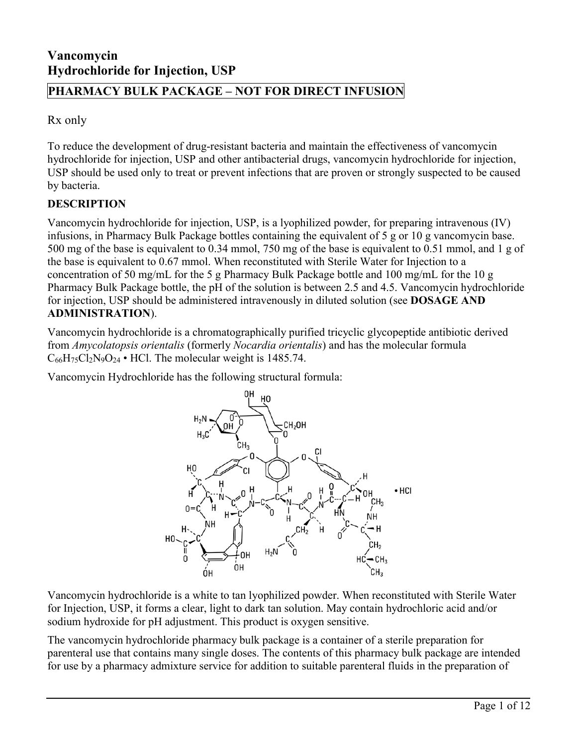# **Vancomycin Hydrochloride for Injection, USP**

# **PHARMACY BULK PACKAGE – NOT FOR DIRECT INFUSION**

Rx only

To reduce the development of drug-resistant bacteria and maintain the effectiveness of vancomycin hydrochloride for injection, USP and other antibacterial drugs, vancomycin hydrochloride for injection, USP should be used only to treat or prevent infections that are proven or strongly suspected to be caused by bacteria.

# **DESCRIPTION**

Vancomycin hydrochloride for injection, USP, is a lyophilized powder, for preparing intravenous (IV) infusions, in Pharmacy Bulk Package bottles containing the equivalent of 5 g or 10 g vancomycin base. 500 mg of the base is equivalent to 0.34 mmol, 750 mg of the base is equivalent to 0.51 mmol, and 1 g of the base is equivalent to 0.67 mmol. When reconstituted with Sterile Water for Injection to a concentration of 50 mg/mL for the 5 g Pharmacy Bulk Package bottle and 100 mg/mL for the 10 g Pharmacy Bulk Package bottle, the pH of the solution is between 2.5 and 4.5. Vancomycin hydrochloride for injection, USP should be administered intravenously in diluted solution (see **DOSAGE AND ADMINISTRATION**).

Vancomycin hydrochloride is a chromatographically purified tricyclic glycopeptide antibiotic derived from *Amycolatopsis orientalis* (formerly *Nocardia orientalis*) and has the molecular formula  $C_{66}H_{75}Cl_2N_9O_{24}$  • HCl. The molecular weight is 1485.74.

Vancomycin Hydrochloride has the following structural formula:



Vancomycin hydrochloride is a white to tan lyophilized powder. When reconstituted with Sterile Water for Injection, USP, it forms a clear, light to dark tan solution. May contain hydrochloric acid and/or sodium hydroxide for pH adjustment. This product is oxygen sensitive.

The vancomycin hydrochloride pharmacy bulk package is a container of a sterile preparation for parenteral use that contains many single doses. The contents of this pharmacy bulk package are intended for use by a pharmacy admixture service for addition to suitable parenteral fluids in the preparation of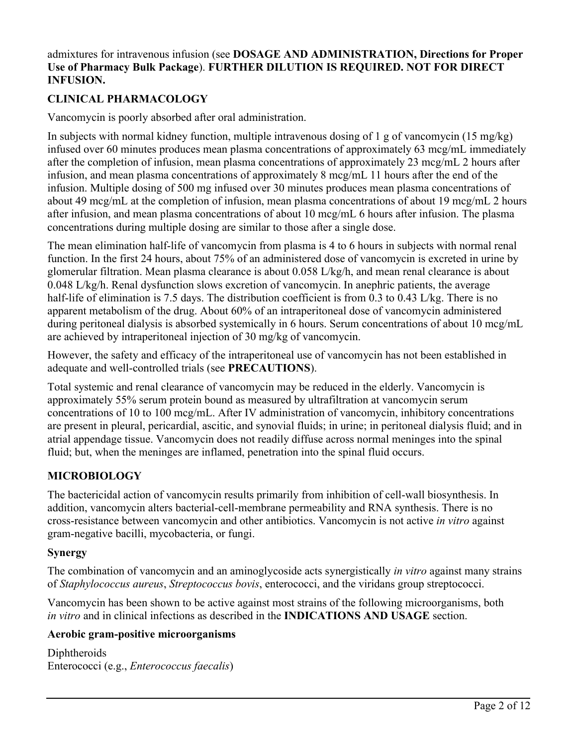#### admixtures for intravenous infusion (see **DOSAGE AND ADMINISTRATION, Directions for Proper Use of Pharmacy Bulk Package**). **FURTHER DILUTION IS REQUIRED. NOT FOR DIRECT INFUSION.**

# **CLINICAL PHARMACOLOGY**

Vancomycin is poorly absorbed after oral administration.

In subjects with normal kidney function, multiple intravenous dosing of 1 g of vancomycin (15 mg/kg) infused over 60 minutes produces mean plasma concentrations of approximately 63 mcg/mL immediately after the completion of infusion, mean plasma concentrations of approximately 23 mcg/mL 2 hours after infusion, and mean plasma concentrations of approximately 8 mcg/mL 11 hours after the end of the infusion. Multiple dosing of 500 mg infused over 30 minutes produces mean plasma concentrations of about 49 mcg/mL at the completion of infusion, mean plasma concentrations of about 19 mcg/mL 2 hours after infusion, and mean plasma concentrations of about 10 mcg/mL 6 hours after infusion. The plasma concentrations during multiple dosing are similar to those after a single dose.

The mean elimination half-life of vancomycin from plasma is 4 to 6 hours in subjects with normal renal function. In the first 24 hours, about 75% of an administered dose of vancomycin is excreted in urine by glomerular filtration. Mean plasma clearance is about 0.058 L/kg/h, and mean renal clearance is about 0.048 L/kg/h. Renal dysfunction slows excretion of vancomycin. In anephric patients, the average half-life of elimination is 7.5 days. The distribution coefficient is from 0.3 to 0.43 L/kg. There is no apparent metabolism of the drug. About 60% of an intraperitoneal dose of vancomycin administered during peritoneal dialysis is absorbed systemically in 6 hours. Serum concentrations of about 10 mcg/mL are achieved by intraperitoneal injection of 30 mg/kg of vancomycin.

However, the safety and efficacy of the intraperitoneal use of vancomycin has not been established in adequate and well-controlled trials (see **PRECAUTIONS**).

Total systemic and renal clearance of vancomycin may be reduced in the elderly. Vancomycin is approximately 55% serum protein bound as measured by ultrafiltration at vancomycin serum concentrations of 10 to 100 mcg/mL. After IV administration of vancomycin, inhibitory concentrations are present in pleural, pericardial, ascitic, and synovial fluids; in urine; in peritoneal dialysis fluid; and in atrial appendage tissue. Vancomycin does not readily diffuse across normal meninges into the spinal fluid; but, when the meninges are inflamed, penetration into the spinal fluid occurs.

# **MICROBIOLOGY**

The bactericidal action of vancomycin results primarily from inhibition of cell-wall biosynthesis. In addition, vancomycin alters bacterial-cell-membrane permeability and RNA synthesis. There is no cross-resistance between vancomycin and other antibiotics. Vancomycin is not active *in vitro* against gram-negative bacilli, mycobacteria, or fungi.

## **Synergy**

The combination of vancomycin and an aminoglycoside acts synergistically *in vitro* against many strains of *Staphylococcus aureus*, *Streptococcus bovis*, enterococci, and the viridans group streptococci.

Vancomycin has been shown to be active against most strains of the following microorganisms, both *in vitro* and in clinical infections as described in the **INDICATIONS AND USAGE** section.

## **Aerobic gram-positive microorganisms**

Diphtheroids Enterococci (e.g., *Enterococcus faecalis*)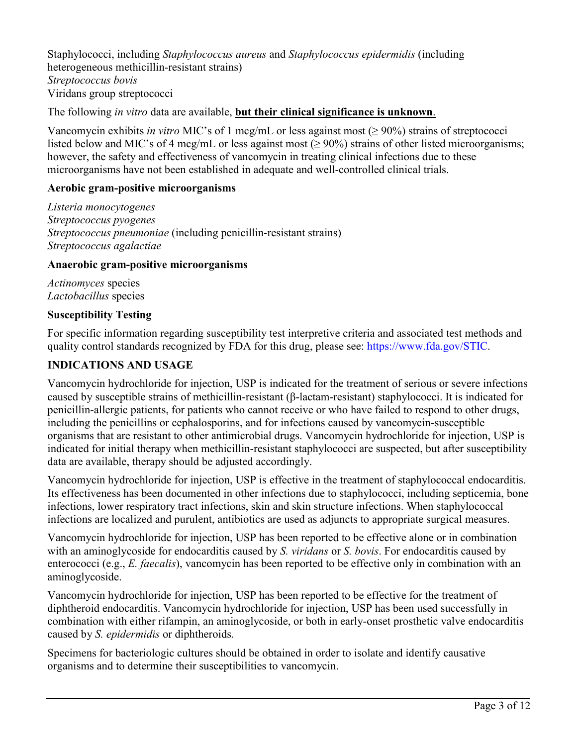Staphylococci, including *Staphylococcus aureus* and *Staphylococcus epidermidis* (including heterogeneous methicillin-resistant strains) *Streptococcus bovis* Viridans group streptococci

The following *in vitro* data are available, **but their clinical significance is unknown**.

Vancomycin exhibits *in vitro* MIC's of 1 mcg/mL or less against most (≥ 90%) strains of streptococci listed below and MIC's of 4 mcg/mL or less against most (≥ 90%) strains of other listed microorganisms; however, the safety and effectiveness of vancomycin in treating clinical infections due to these microorganisms have not been established in adequate and well-controlled clinical trials.

#### **Aerobic gram-positive microorganisms**

*Listeria monocytogenes Streptococcus pyogenes Streptococcus pneumoniae* (including penicillin-resistant strains) *Streptococcus agalactiae*

#### **Anaerobic gram-positive microorganisms**

*Actinomyces* species *Lactobacillus* species

#### **Susceptibility Testing**

For specific information regarding susceptibility test interpretive criteria and associated test methods and quality control standards recognized by FDA for this drug, please see: [https://www.fda.gov/STIC.](https://www.fda.gov/STIC)

## **INDICATIONS AND USAGE**

Vancomycin hydrochloride for injection, USP is indicated for the treatment of serious or severe infections caused by susceptible strains of methicillin-resistant (β-lactam-resistant) staphylococci. It is indicated for penicillin-allergic patients, for patients who cannot receive or who have failed to respond to other drugs, including the penicillins or cephalosporins, and for infections caused by vancomycin-susceptible organisms that are resistant to other antimicrobial drugs. Vancomycin hydrochloride for injection, USP is indicated for initial therapy when methicillin-resistant staphylococci are suspected, but after susceptibility data are available, therapy should be adjusted accordingly.

Vancomycin hydrochloride for injection, USP is effective in the treatment of staphylococcal endocarditis. Its effectiveness has been documented in other infections due to staphylococci, including septicemia, bone infections, lower respiratory tract infections, skin and skin structure infections. When staphylococcal infections are localized and purulent, antibiotics are used as adjuncts to appropriate surgical measures.

Vancomycin hydrochloride for injection, USP has been reported to be effective alone or in combination with an aminoglycoside for endocarditis caused by *S. viridans* or *S. bovis*. For endocarditis caused by enterococci (e.g., *E. faecalis*), vancomycin has been reported to be effective only in combination with an aminoglycoside.

Vancomycin hydrochloride for injection, USP has been reported to be effective for the treatment of diphtheroid endocarditis. Vancomycin hydrochloride for injection, USP has been used successfully in combination with either rifampin, an aminoglycoside, or both in early-onset prosthetic valve endocarditis caused by *S. epidermidis* or diphtheroids.

Specimens for bacteriologic cultures should be obtained in order to isolate and identify causative organisms and to determine their susceptibilities to vancomycin.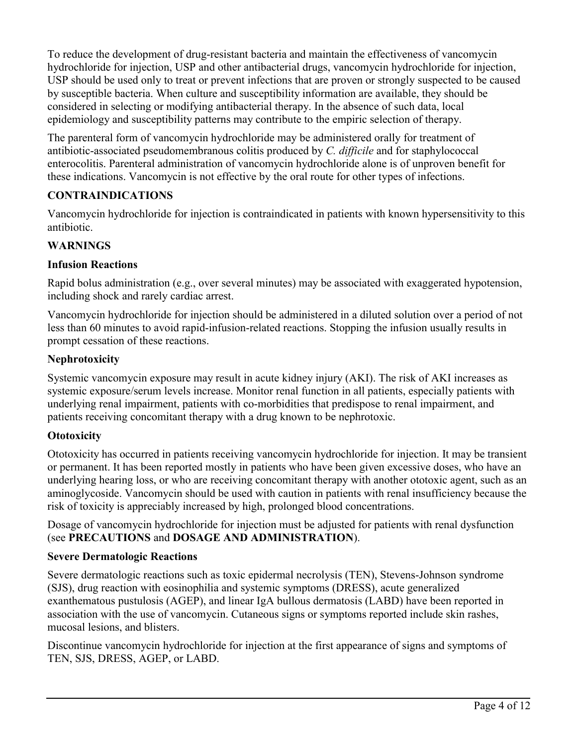To reduce the development of drug-resistant bacteria and maintain the effectiveness of vancomycin hydrochloride for injection, USP and other antibacterial drugs, vancomycin hydrochloride for injection, USP should be used only to treat or prevent infections that are proven or strongly suspected to be caused by susceptible bacteria. When culture and susceptibility information are available, they should be considered in selecting or modifying antibacterial therapy. In the absence of such data, local epidemiology and susceptibility patterns may contribute to the empiric selection of therapy.

The parenteral form of vancomycin hydrochloride may be administered orally for treatment of antibiotic-associated pseudomembranous colitis produced by *C. difficile* and for staphylococcal enterocolitis. Parenteral administration of vancomycin hydrochloride alone is of unproven benefit for these indications. Vancomycin is not effective by the oral route for other types of infections.

# **CONTRAINDICATIONS**

Vancomycin hydrochloride for injection is contraindicated in patients with known hypersensitivity to this antibiotic.

# **WARNINGS**

## **Infusion Reactions**

Rapid bolus administration (e.g., over several minutes) may be associated with exaggerated hypotension, including shock and rarely cardiac arrest.

Vancomycin hydrochloride for injection should be administered in a diluted solution over a period of not less than 60 minutes to avoid rapid-infusion-related reactions. Stopping the infusion usually results in prompt cessation of these reactions.

# **Nephrotoxicity**

Systemic vancomycin exposure may result in acute kidney injury (AKI). The risk of AKI increases as systemic exposure/serum levels increase. Monitor renal function in all patients, especially patients with underlying renal impairment, patients with co-morbidities that predispose to renal impairment, and patients receiving concomitant therapy with a drug known to be nephrotoxic.

# **Ototoxicity**

Ototoxicity has occurred in patients receiving vancomycin hydrochloride for injection. It may be transient or permanent. It has been reported mostly in patients who have been given excessive doses, who have an underlying hearing loss, or who are receiving concomitant therapy with another ototoxic agent, such as an aminoglycoside. Vancomycin should be used with caution in patients with renal insufficiency because the risk of toxicity is appreciably increased by high, prolonged blood concentrations.

Dosage of vancomycin hydrochloride for injection must be adjusted for patients with renal dysfunction (see **PRECAUTIONS** and **DOSAGE AND ADMINISTRATION**).

## **Severe Dermatologic Reactions**

Severe dermatologic reactions such as toxic epidermal necrolysis (TEN), Stevens-Johnson syndrome (SJS), drug reaction with eosinophilia and systemic symptoms (DRESS), acute generalized exanthematous pustulosis (AGEP), and linear IgA bullous dermatosis (LABD) have been reported in association with the use of vancomycin. Cutaneous signs or symptoms reported include skin rashes, mucosal lesions, and blisters.

Discontinue vancomycin hydrochloride for injection at the first appearance of signs and symptoms of TEN, SJS, DRESS, AGEP, or LABD.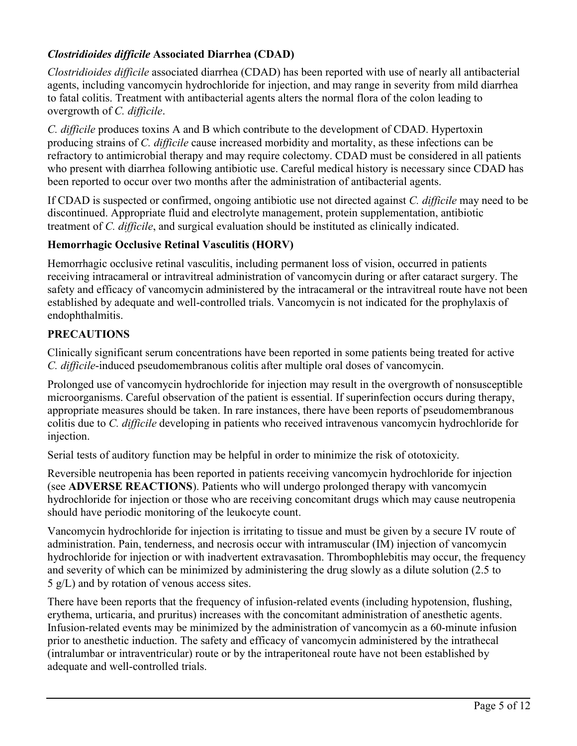## *Clostridioides difficile* **Associated Diarrhea (CDAD)**

*Clostridioides difficile* associated diarrhea (CDAD) has been reported with use of nearly all antibacterial agents, including vancomycin hydrochloride for injection, and may range in severity from mild diarrhea to fatal colitis. Treatment with antibacterial agents alters the normal flora of the colon leading to overgrowth of *C. difficile*.

*C. difficile* produces toxins A and B which contribute to the development of CDAD. Hypertoxin producing strains of *C. difficile* cause increased morbidity and mortality, as these infections can be refractory to antimicrobial therapy and may require colectomy. CDAD must be considered in all patients who present with diarrhea following antibiotic use. Careful medical history is necessary since CDAD has been reported to occur over two months after the administration of antibacterial agents.

If CDAD is suspected or confirmed, ongoing antibiotic use not directed against *C. difficile* may need to be discontinued. Appropriate fluid and electrolyte management, protein supplementation, antibiotic treatment of *C. difficile*, and surgical evaluation should be instituted as clinically indicated.

## **Hemorrhagic Occlusive Retinal Vasculitis (HORV)**

Hemorrhagic occlusive retinal vasculitis, including permanent loss of vision, occurred in patients receiving intracameral or intravitreal administration of vancomycin during or after cataract surgery. The safety and efficacy of vancomycin administered by the intracameral or the intravitreal route have not been established by adequate and well-controlled trials. Vancomycin is not indicated for the prophylaxis of endophthalmitis.

## **PRECAUTIONS**

Clinically significant serum concentrations have been reported in some patients being treated for active *C. difficile*-induced pseudomembranous colitis after multiple oral doses of vancomycin.

Prolonged use of vancomycin hydrochloride for injection may result in the overgrowth of nonsusceptible microorganisms. Careful observation of the patient is essential. If superinfection occurs during therapy, appropriate measures should be taken. In rare instances, there have been reports of pseudomembranous colitis due to *C. difficile* developing in patients who received intravenous vancomycin hydrochloride for injection.

Serial tests of auditory function may be helpful in order to minimize the risk of ototoxicity.

Reversible neutropenia has been reported in patients receiving vancomycin hydrochloride for injection (see **ADVERSE REACTIONS**). Patients who will undergo prolonged therapy with vancomycin hydrochloride for injection or those who are receiving concomitant drugs which may cause neutropenia should have periodic monitoring of the leukocyte count.

Vancomycin hydrochloride for injection is irritating to tissue and must be given by a secure IV route of administration. Pain, tenderness, and necrosis occur with intramuscular (IM) injection of vancomycin hydrochloride for injection or with inadvertent extravasation. Thrombophlebitis may occur, the frequency and severity of which can be minimized by administering the drug slowly as a dilute solution (2.5 to 5 g/L) and by rotation of venous access sites.

There have been reports that the frequency of infusion-related events (including hypotension, flushing, erythema, urticaria, and pruritus) increases with the concomitant administration of anesthetic agents. Infusion-related events may be minimized by the administration of vancomycin as a 60-minute infusion prior to anesthetic induction. The safety and efficacy of vancomycin administered by the intrathecal (intralumbar or intraventricular) route or by the intraperitoneal route have not been established by adequate and well-controlled trials.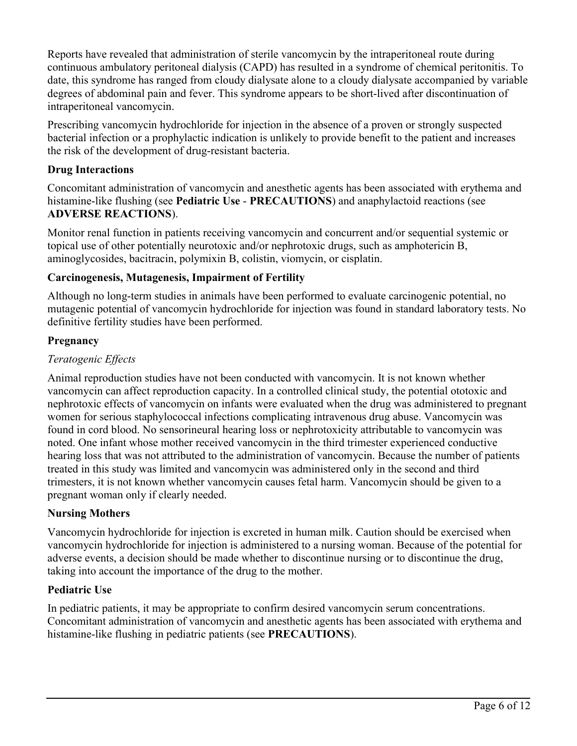Reports have revealed that administration of sterile vancomycin by the intraperitoneal route during continuous ambulatory peritoneal dialysis (CAPD) has resulted in a syndrome of chemical peritonitis. To date, this syndrome has ranged from cloudy dialysate alone to a cloudy dialysate accompanied by variable degrees of abdominal pain and fever. This syndrome appears to be short-lived after discontinuation of intraperitoneal vancomycin.

Prescribing vancomycin hydrochloride for injection in the absence of a proven or strongly suspected bacterial infection or a prophylactic indication is unlikely to provide benefit to the patient and increases the risk of the development of drug-resistant bacteria.

## **Drug Interactions**

Concomitant administration of vancomycin and anesthetic agents has been associated with erythema and histamine-like flushing (see **Pediatric Use** - **PRECAUTIONS**) and anaphylactoid reactions (see **ADVERSE REACTIONS**).

Monitor renal function in patients receiving vancomycin and concurrent and/or sequential systemic or topical use of other potentially neurotoxic and/or nephrotoxic drugs, such as amphotericin B, aminoglycosides, bacitracin, polymixin B, colistin, viomycin, or cisplatin.

# **Carcinogenesis, Mutagenesis, Impairment of Fertility**

Although no long-term studies in animals have been performed to evaluate carcinogenic potential, no mutagenic potential of vancomycin hydrochloride for injection was found in standard laboratory tests. No definitive fertility studies have been performed.

## **Pregnancy**

# *Teratogenic Effects*

Animal reproduction studies have not been conducted with vancomycin. It is not known whether vancomycin can affect reproduction capacity. In a controlled clinical study, the potential ototoxic and nephrotoxic effects of vancomycin on infants were evaluated when the drug was administered to pregnant women for serious staphylococcal infections complicating intravenous drug abuse. Vancomycin was found in cord blood. No sensorineural hearing loss or nephrotoxicity attributable to vancomycin was noted. One infant whose mother received vancomycin in the third trimester experienced conductive hearing loss that was not attributed to the administration of vancomycin. Because the number of patients treated in this study was limited and vancomycin was administered only in the second and third trimesters, it is not known whether vancomycin causes fetal harm. Vancomycin should be given to a pregnant woman only if clearly needed.

## **Nursing Mothers**

Vancomycin hydrochloride for injection is excreted in human milk. Caution should be exercised when vancomycin hydrochloride for injection is administered to a nursing woman. Because of the potential for adverse events, a decision should be made whether to discontinue nursing or to discontinue the drug, taking into account the importance of the drug to the mother.

## **Pediatric Use**

In pediatric patients, it may be appropriate to confirm desired vancomycin serum concentrations. Concomitant administration of vancomycin and anesthetic agents has been associated with erythema and histamine-like flushing in pediatric patients (see **PRECAUTIONS**).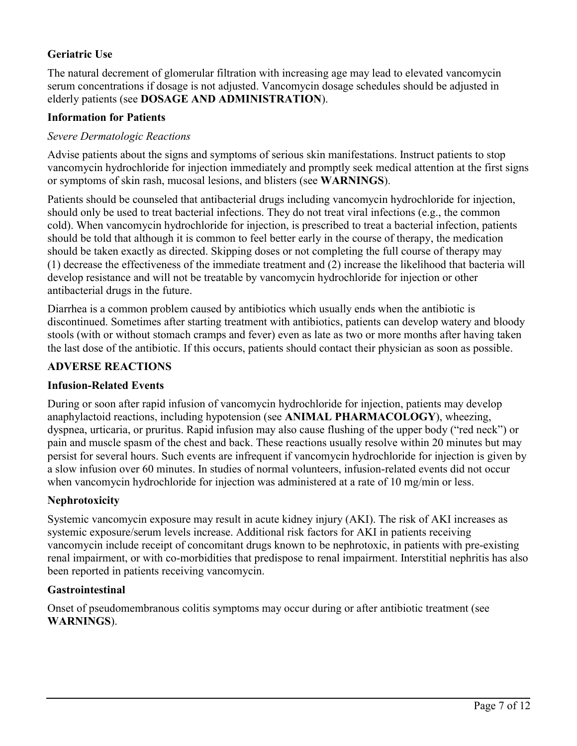## **Geriatric Use**

The natural decrement of glomerular filtration with increasing age may lead to elevated vancomycin serum concentrations if dosage is not adjusted. Vancomycin dosage schedules should be adjusted in elderly patients (see **DOSAGE AND ADMINISTRATION**).

#### **Information for Patients**

#### *Severe Dermatologic Reactions*

Advise patients about the signs and symptoms of serious skin manifestations. Instruct patients to stop vancomycin hydrochloride for injection immediately and promptly seek medical attention at the first signs or symptoms of skin rash, mucosal lesions, and blisters (see **WARNINGS**).

Patients should be counseled that antibacterial drugs including vancomycin hydrochloride for injection, should only be used to treat bacterial infections. They do not treat viral infections (e.g., the common cold). When vancomycin hydrochloride for injection, is prescribed to treat a bacterial infection, patients should be told that although it is common to feel better early in the course of therapy, the medication should be taken exactly as directed. Skipping doses or not completing the full course of therapy may (1) decrease the effectiveness of the immediate treatment and (2) increase the likelihood that bacteria will develop resistance and will not be treatable by vancomycin hydrochloride for injection or other antibacterial drugs in the future.

Diarrhea is a common problem caused by antibiotics which usually ends when the antibiotic is discontinued. Sometimes after starting treatment with antibiotics, patients can develop watery and bloody stools (with or without stomach cramps and fever) even as late as two or more months after having taken the last dose of the antibiotic. If this occurs, patients should contact their physician as soon as possible.

#### **ADVERSE REACTIONS**

#### **Infusion-Related Events**

During or soon after rapid infusion of vancomycin hydrochloride for injection, patients may develop anaphylactoid reactions, including hypotension (see **ANIMAL PHARMACOLOGY**), wheezing, dyspnea, urticaria, or pruritus. Rapid infusion may also cause flushing of the upper body ("red neck") or pain and muscle spasm of the chest and back. These reactions usually resolve within 20 minutes but may persist for several hours. Such events are infrequent if vancomycin hydrochloride for injection is given by a slow infusion over 60 minutes. In studies of normal volunteers, infusion-related events did not occur when vancomycin hydrochloride for injection was administered at a rate of 10 mg/min or less.

## **Nephrotoxicity**

Systemic vancomycin exposure may result in acute kidney injury (AKI). The risk of AKI increases as systemic exposure/serum levels increase. Additional risk factors for AKI in patients receiving vancomycin include receipt of concomitant drugs known to be nephrotoxic, in patients with pre-existing renal impairment, or with co-morbidities that predispose to renal impairment. Interstitial nephritis has also been reported in patients receiving vancomycin.

## **Gastrointestinal**

Onset of pseudomembranous colitis symptoms may occur during or after antibiotic treatment (see **WARNINGS**).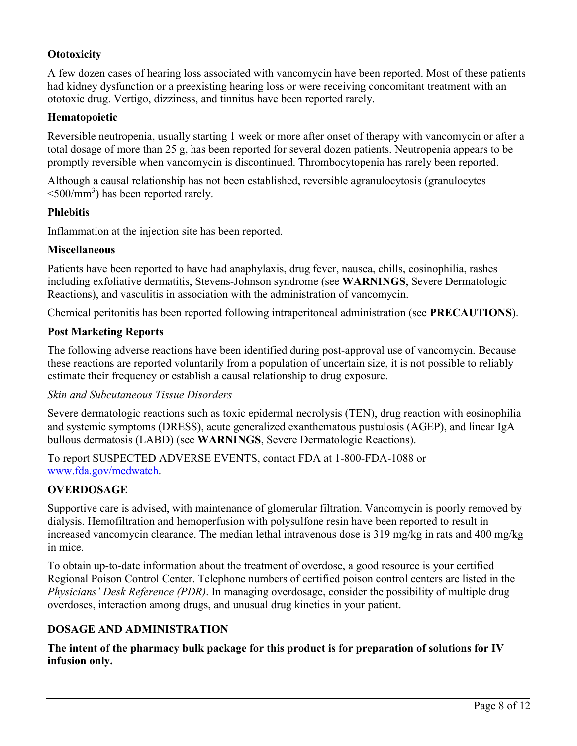## **Ototoxicity**

A few dozen cases of hearing loss associated with vancomycin have been reported. Most of these patients had kidney dysfunction or a preexisting hearing loss or were receiving concomitant treatment with an ototoxic drug. Vertigo, dizziness, and tinnitus have been reported rarely.

## **Hematopoietic**

Reversible neutropenia, usually starting 1 week or more after onset of therapy with vancomycin or after a total dosage of more than 25 g, has been reported for several dozen patients. Neutropenia appears to be promptly reversible when vancomycin is discontinued. Thrombocytopenia has rarely been reported.

Although a causal relationship has not been established, reversible agranulocytosis (granulocytes  $\leq 500$ /mm<sup>3</sup>) has been reported rarely.

#### **Phlebitis**

Inflammation at the injection site has been reported.

#### **Miscellaneous**

Patients have been reported to have had anaphylaxis, drug fever, nausea, chills, eosinophilia, rashes including exfoliative dermatitis, Stevens-Johnson syndrome (see **WARNINGS**, Severe Dermatologic Reactions), and vasculitis in association with the administration of vancomycin.

Chemical peritonitis has been reported following intraperitoneal administration (see **PRECAUTIONS**).

#### **Post Marketing Reports**

The following adverse reactions have been identified during post-approval use of vancomycin. Because these reactions are reported voluntarily from a population of uncertain size, it is not possible to reliably estimate their frequency or establish a causal relationship to drug exposure.

#### *Skin and Subcutaneous Tissue Disorders*

Severe dermatologic reactions such as toxic epidermal necrolysis (TEN), drug reaction with eosinophilia and systemic symptoms (DRESS), acute generalized exanthematous pustulosis (AGEP), and linear IgA bullous dermatosis (LABD) (see **WARNINGS**, Severe Dermatologic Reactions).

To report SUSPECTED ADVERSE EVENTS, contact FDA at 1-800-FDA-1088 or [www.fda.gov/medwatch](http://www.fda.gov/medwatch).

## **OVERDOSAGE**

Supportive care is advised, with maintenance of glomerular filtration. Vancomycin is poorly removed by dialysis. Hemofiltration and hemoperfusion with polysulfone resin have been reported to result in increased vancomycin clearance. The median lethal intravenous dose is 319 mg/kg in rats and 400 mg/kg in mice.

To obtain up-to-date information about the treatment of overdose, a good resource is your certified Regional Poison Control Center. Telephone numbers of certified poison control centers are listed in the *Physicians' Desk Reference (PDR)*. In managing overdosage, consider the possibility of multiple drug overdoses, interaction among drugs, and unusual drug kinetics in your patient.

## **DOSAGE AND ADMINISTRATION**

**The intent of the pharmacy bulk package for this product is for preparation of solutions for IV infusion only.**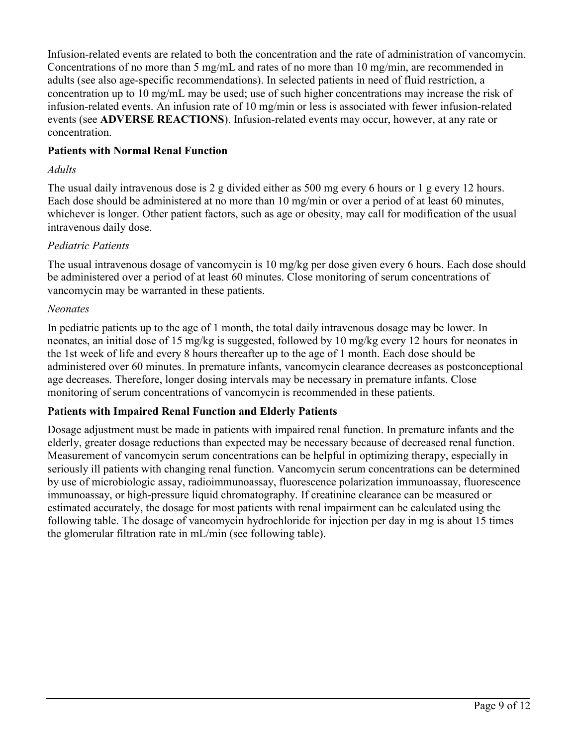Infusion-related events are related to both the concentration and the rate of administration of vancomycin. Concentrations of no more than 5 mg/mL and rates of no more than 10 mg/min, are recommended in adults (see also age-specific recommendations). In selected patients in need of fluid restriction, a concentration up to 10 mg/mL may be used; use of such higher concentrations may increase the risk of infusion-related events. An infusion rate of 10 mg/min or less is associated with fewer infusion-related events (see **ADVERSE REACTIONS**). Infusion-related events may occur, however, at any rate or concentration.

#### **Patients with Normal Renal Function**

#### *Adults*

The usual daily intravenous dose is 2 g divided either as 500 mg every 6 hours or 1 g every 12 hours. Each dose should be administered at no more than 10 mg/min or over a period of at least 60 minutes, whichever is longer. Other patient factors, such as age or obesity, may call for modification of the usual intravenous daily dose.

#### *Pediatric Patients*

The usual intravenous dosage of vancomycin is 10 mg/kg per dose given every 6 hours. Each dose should be administered over a period of at least 60 minutes. Close monitoring of serum concentrations of vancomycin may be warranted in these patients.

#### *Neonates*

In pediatric patients up to the age of 1 month, the total daily intravenous dosage may be lower. In neonates, an initial dose of 15 mg/kg is suggested, followed by 10 mg/kg every 12 hours for neonates in the 1st week of life and every 8 hours thereafter up to the age of 1 month. Each dose should be administered over 60 minutes. In premature infants, vancomycin clearance decreases as postconceptional age decreases. Therefore, longer dosing intervals may be necessary in premature infants. Close monitoring of serum concentrations of vancomycin is recommended in these patients.

#### **Patients with Impaired Renal Function and Elderly Patients**

Dosage adjustment must be made in patients with impaired renal function. In premature infants and the elderly, greater dosage reductions than expected may be necessary because of decreased renal function. Measurement of vancomycin serum concentrations can be helpful in optimizing therapy, especially in seriously ill patients with changing renal function. Vancomycin serum concentrations can be determined by use of microbiologic assay, radioimmunoassay, fluorescence polarization immunoassay, fluorescence immunoassay, or high-pressure liquid chromatography. If creatinine clearance can be measured or estimated accurately, the dosage for most patients with renal impairment can be calculated using the following table. The dosage of vancomycin hydrochloride for injection per day in mg is about 15 times the glomerular filtration rate in mL/min (see following table).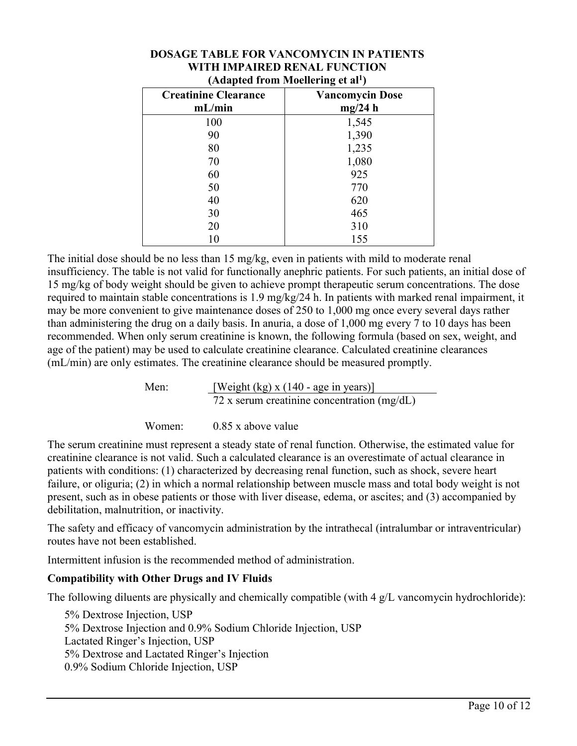| $-$ - $  -$                           |                                   |
|---------------------------------------|-----------------------------------|
| <b>Creatinine Clearance</b><br>mL/min | <b>Vancomycin Dose</b><br>mg/24 h |
| 100                                   | 1,545                             |
| 90                                    | 1,390                             |
| 80                                    | 1,235                             |
| 70                                    | 1,080                             |
| 60                                    | 925                               |
| 50                                    | 770                               |
| 40                                    | 620                               |
| 30                                    | 465                               |
| 20                                    | 310                               |
|                                       | 155                               |

#### **DOSAGE TABLE FOR VANCOMYCIN IN PATIENTS WITH IMPAIRED RENAL FUNCTION (Adapted from Moellering et al<sup>1</sup> )**

The initial dose should be no less than 15 mg/kg, even in patients with mild to moderate renal insufficiency. The table is not valid for functionally anephric patients. For such patients, an initial dose of 15 mg/kg of body weight should be given to achieve prompt therapeutic serum concentrations. The dose required to maintain stable concentrations is 1.9 mg/kg/24 h. In patients with marked renal impairment, it may be more convenient to give maintenance doses of 250 to 1,000 mg once every several days rather than administering the drug on a daily basis. In anuria, a dose of 1,000 mg every 7 to 10 days has been recommended. When only serum creatinine is known, the following formula (based on sex, weight, and age of the patient) may be used to calculate creatinine clearance. Calculated creatinine clearances (mL/min) are only estimates. The creatinine clearance should be measured promptly.

> Men: [Weight (kg) x (140 - age in years)] 72 x serum creatinine concentration (mg/dL)

Women: 0.85 x above value

The serum creatinine must represent a steady state of renal function. Otherwise, the estimated value for creatinine clearance is not valid. Such a calculated clearance is an overestimate of actual clearance in patients with conditions: (1) characterized by decreasing renal function, such as shock, severe heart failure, or oliguria; (2) in which a normal relationship between muscle mass and total body weight is not present, such as in obese patients or those with liver disease, edema, or ascites; and (3) accompanied by debilitation, malnutrition, or inactivity.

The safety and efficacy of vancomycin administration by the intrathecal (intralumbar or intraventricular) routes have not been established.

Intermittent infusion is the recommended method of administration.

# **Compatibility with Other Drugs and IV Fluids**

The following diluents are physically and chemically compatible (with 4 g/L vancomycin hydrochloride):

5% Dextrose Injection, USP 5% Dextrose Injection and 0.9% Sodium Chloride Injection, USP Lactated Ringer's Injection, USP 5% Dextrose and Lactated Ringer's Injection 0.9% Sodium Chloride Injection, USP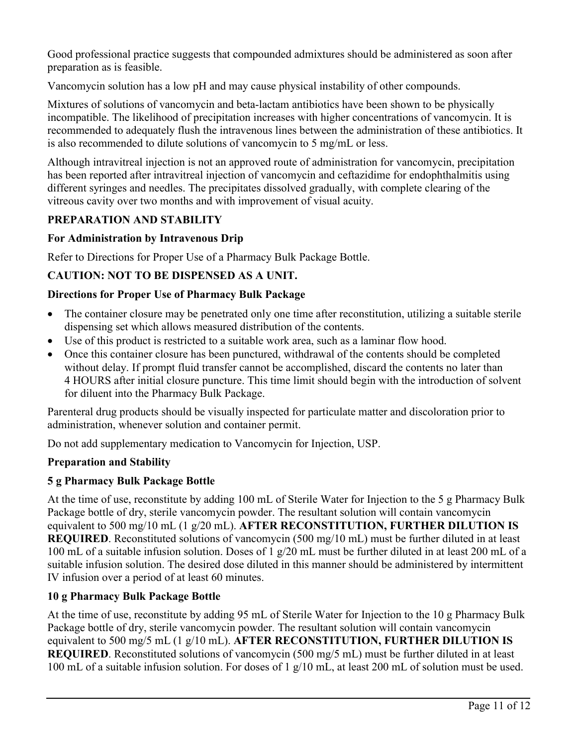Good professional practice suggests that compounded admixtures should be administered as soon after preparation as is feasible.

Vancomycin solution has a low pH and may cause physical instability of other compounds.

Mixtures of solutions of vancomycin and beta-lactam antibiotics have been shown to be physically incompatible. The likelihood of precipitation increases with higher concentrations of vancomycin. It is recommended to adequately flush the intravenous lines between the administration of these antibiotics. It is also recommended to dilute solutions of vancomycin to 5 mg/mL or less.

Although intravitreal injection is not an approved route of administration for vancomycin, precipitation has been reported after intravitreal injection of vancomycin and ceftazidime for endophthalmitis using different syringes and needles. The precipitates dissolved gradually, with complete clearing of the vitreous cavity over two months and with improvement of visual acuity.

## **PREPARATION AND STABILITY**

#### **For Administration by Intravenous Drip**

Refer to Directions for Proper Use of a Pharmacy Bulk Package Bottle.

## **CAUTION: NOT TO BE DISPENSED AS A UNIT.**

#### **Directions for Proper Use of Pharmacy Bulk Package**

- The container closure may be penetrated only one time after reconstitution, utilizing a suitable sterile dispensing set which allows measured distribution of the contents.
- Use of this product is restricted to a suitable work area, such as a laminar flow hood.
- Once this container closure has been punctured, withdrawal of the contents should be completed without delay. If prompt fluid transfer cannot be accomplished, discard the contents no later than 4 HOURS after initial closure puncture. This time limit should begin with the introduction of solvent for diluent into the Pharmacy Bulk Package.

Parenteral drug products should be visually inspected for particulate matter and discoloration prior to administration, whenever solution and container permit.

Do not add supplementary medication to Vancomycin for Injection, USP.

#### **Preparation and Stability**

#### **5 g Pharmacy Bulk Package Bottle**

At the time of use, reconstitute by adding 100 mL of Sterile Water for Injection to the 5 g Pharmacy Bulk Package bottle of dry, sterile vancomycin powder. The resultant solution will contain vancomycin equivalent to 500 mg/10 mL (1 g/20 mL). **AFTER RECONSTITUTION, FURTHER DILUTION IS REQUIRED**. Reconstituted solutions of vancomycin (500 mg/10 mL) must be further diluted in at least 100 mL of a suitable infusion solution. Doses of 1 g/20 mL must be further diluted in at least 200 mL of a suitable infusion solution. The desired dose diluted in this manner should be administered by intermittent IV infusion over a period of at least 60 minutes.

## **10 g Pharmacy Bulk Package Bottle**

At the time of use, reconstitute by adding 95 mL of Sterile Water for Injection to the 10 g Pharmacy Bulk Package bottle of dry, sterile vancomycin powder. The resultant solution will contain vancomycin equivalent to 500 mg/5 mL (1 g/10 mL). **AFTER RECONSTITUTION, FURTHER DILUTION IS REQUIRED**. Reconstituted solutions of vancomycin (500 mg/5 mL) must be further diluted in at least 100 mL of a suitable infusion solution. For doses of 1 g/10 mL, at least 200 mL of solution must be used.